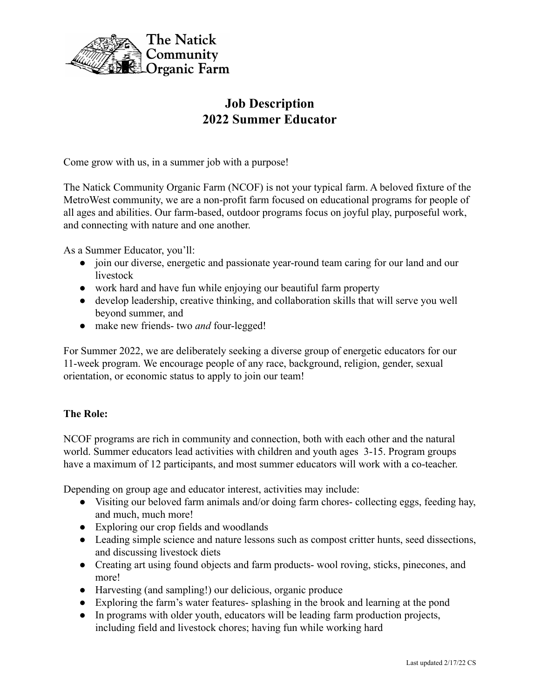

# **Job Description 2022 Summer Educator**

Come grow with us, in a summer job with a purpose!

The Natick Community Organic Farm (NCOF) is not your typical farm. A beloved fixture of the MetroWest community, we are a non-profit farm focused on educational programs for people of all ages and abilities. Our farm-based, outdoor programs focus on joyful play, purposeful work, and connecting with nature and one another.

As a Summer Educator, you'll:

- join our diverse, energetic and passionate year-round team caring for our land and our livestock
- work hard and have fun while enjoying our beautiful farm property
- develop leadership, creative thinking, and collaboration skills that will serve you well beyond summer, and
- make new friends- two *and* four-legged!

For Summer 2022, we are deliberately seeking a diverse group of energetic educators for our 11-week program. We encourage people of any race, background, religion, gender, sexual orientation, or economic status to apply to join our team!

# **The Role:**

NCOF programs are rich in community and connection, both with each other and the natural world. Summer educators lead activities with children and youth ages 3-15. Program groups have a maximum of 12 participants, and most summer educators will work with a co-teacher.

Depending on group age and educator interest, activities may include:

- Visiting our beloved farm animals and/or doing farm chores- collecting eggs, feeding hay, and much, much more!
- Exploring our crop fields and woodlands
- Leading simple science and nature lessons such as compost critter hunts, seed dissections, and discussing livestock diets
- Creating art using found objects and farm products- wool roving, sticks, pinecones, and more!
- Harvesting (and sampling!) our delicious, organic produce
- Exploring the farm's water features- splashing in the brook and learning at the pond
- In programs with older youth, educators will be leading farm production projects, including field and livestock chores; having fun while working hard